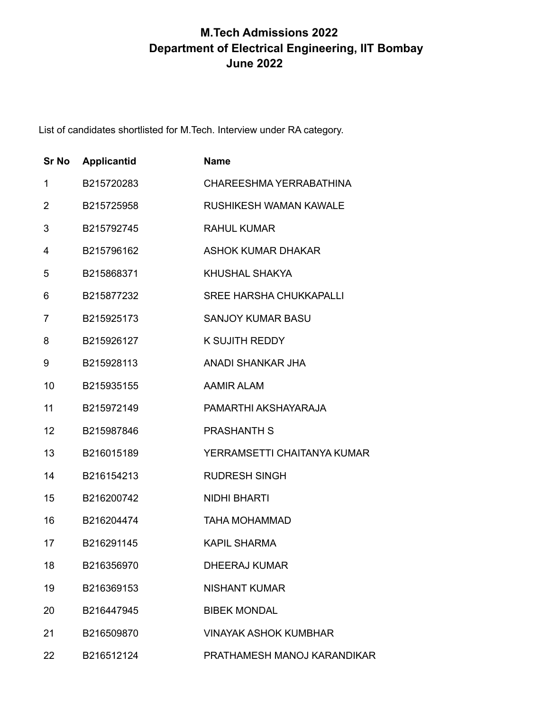## **M.Tech Admissions 2022 Department of Electrical Engineering, IIT Bombay June 2022**

List of candidates shortlisted for M.Tech. Interview under RA category.

| <b>Sr No</b> | <b>Applicantid</b> | <b>Name</b>                    |
|--------------|--------------------|--------------------------------|
| 1            | B215720283         | CHAREESHMA YERRABATHINA        |
| 2            | B215725958         | RUSHIKESH WAMAN KAWALE         |
| 3            | B215792745         | RAHUL KUMAR                    |
| 4            | B215796162         | <b>ASHOK KUMAR DHAKAR</b>      |
| 5            | B215868371         | <b>KHUSHAL SHAKYA</b>          |
| 6            | B215877232         | <b>SREE HARSHA CHUKKAPALLI</b> |
| 7            | B215925173         | <b>SANJOY KUMAR BASU</b>       |
| 8            | B215926127         | <b>K SUJITH REDDY</b>          |
| 9            | B215928113         | <b>ANADI SHANKAR JHA</b>       |
| 10           | B215935155         | <b>AAMIR ALAM</b>              |
| 11           | B215972149         | PAMARTHI AKSHAYARAJA           |
| 12           | B215987846         | <b>PRASHANTH S</b>             |
| 13           | B216015189         | YERRAMSETTI CHAITANYA KUMAR    |
| 14           | B216154213         | <b>RUDRESH SINGH</b>           |
| 15           | B216200742         | <b>NIDHI BHARTI</b>            |
| 16           | B216204474         | <b>TAHA MOHAMMAD</b>           |
| 17           | B216291145         | <b>KAPIL SHARMA</b>            |
| 18           | B216356970         | <b>DHEERAJ KUMAR</b>           |
| 19           | B216369153         | <b>NISHANT KUMAR</b>           |
| 20           | B216447945         | <b>BIBEK MONDAL</b>            |
| 21           | B216509870         | <b>VINAYAK ASHOK KUMBHAR</b>   |
| 22           | B216512124         | PRATHAMESH MANOJ KARANDIKAR    |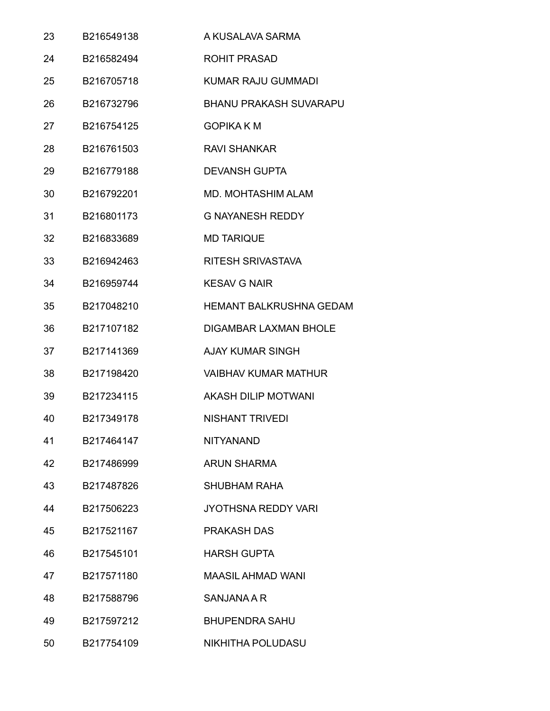| 23 | B216549138 | A KUSALAVA SARMA               |
|----|------------|--------------------------------|
| 24 | B216582494 | <b>ROHIT PRASAD</b>            |
| 25 | B216705718 | <b>KUMAR RAJU GUMMADI</b>      |
| 26 | B216732796 | <b>BHANU PRAKASH SUVARAPU</b>  |
| 27 | B216754125 | <b>GOPIKA KM</b>               |
| 28 | B216761503 | <b>RAVI SHANKAR</b>            |
| 29 | B216779188 | <b>DEVANSH GUPTA</b>           |
| 30 | B216792201 | <b>MD. MOHTASHIM ALAM</b>      |
| 31 | B216801173 | <b>G NAYANESH REDDY</b>        |
| 32 | B216833689 | <b>MD TARIQUE</b>              |
| 33 | B216942463 | <b>RITESH SRIVASTAVA</b>       |
| 34 | B216959744 | <b>KESAV G NAIR</b>            |
| 35 | B217048210 | <b>HEMANT BALKRUSHNA GEDAM</b> |
| 36 | B217107182 | <b>DIGAMBAR LAXMAN BHOLE</b>   |
| 37 | B217141369 | <b>AJAY KUMAR SINGH</b>        |
| 38 | B217198420 | <b>VAIBHAV KUMAR MATHUR</b>    |
| 39 | B217234115 | AKASH DILIP MOTWANI            |
| 40 | B217349178 | <b>NISHANT TRIVEDI</b>         |
| 41 | B217464147 | <b>NITYANAND</b>               |
| 42 | B217486999 | <b>ARUN SHARMA</b>             |
| 43 | B217487826 | <b>SHUBHAM RAHA</b>            |
| 44 | B217506223 | <b>JYOTHSNA REDDY VARI</b>     |
| 45 | B217521167 | <b>PRAKASH DAS</b>             |
| 46 | B217545101 | <b>HARSH GUPTA</b>             |
| 47 | B217571180 | <b>MAASIL AHMAD WANI</b>       |
| 48 | B217588796 | <b>SANJANA A R</b>             |
| 49 | B217597212 | <b>BHUPENDRA SAHU</b>          |
| 50 | B217754109 | NIKHITHA POLUDASU              |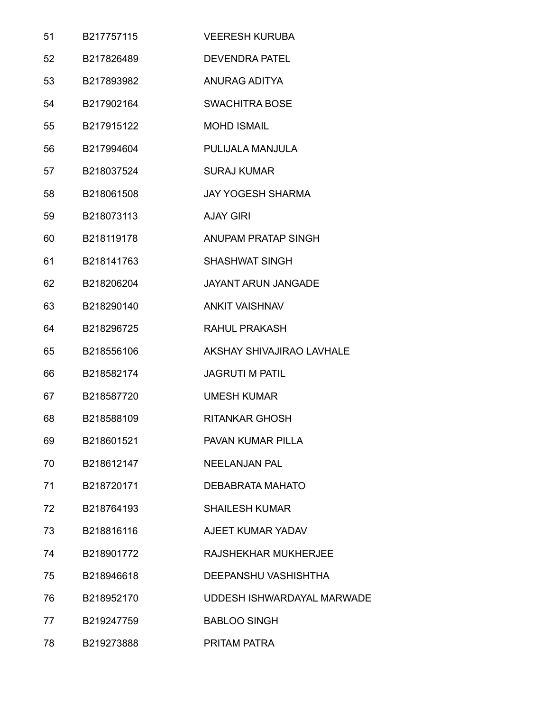| 51 | B217757115 | <b>VEERESH KURUBA</b>      |
|----|------------|----------------------------|
| 52 | B217826489 | <b>DEVENDRA PATEL</b>      |
| 53 | B217893982 | <b>ANURAG ADITYA</b>       |
| 54 | B217902164 | <b>SWACHITRA BOSE</b>      |
| 55 | B217915122 | <b>MOHD ISMAIL</b>         |
| 56 | B217994604 | PULIJALA MANJULA           |
| 57 | B218037524 | <b>SURAJ KUMAR</b>         |
| 58 | B218061508 | <b>JAY YOGESH SHARMA</b>   |
| 59 | B218073113 | <b>AJAY GIRI</b>           |
| 60 | B218119178 | ANUPAM PRATAP SINGH        |
| 61 | B218141763 | <b>SHASHWAT SINGH</b>      |
| 62 | B218206204 | <b>JAYANT ARUN JANGADE</b> |
| 63 | B218290140 | <b>ANKIT VAISHNAV</b>      |
| 64 | B218296725 | RAHUL PRAKASH              |
| 65 | B218556106 | AKSHAY SHIVAJIRAO LAVHALE  |
| 66 | B218582174 | <b>JAGRUTI M PATIL</b>     |
| 67 | B218587720 | <b>UMESH KUMAR</b>         |
| 68 | B218588109 | <b>RITANKAR GHOSH</b>      |
| 69 | B218601521 | PAVAN KUMAR PILLA          |
| 70 | B218612147 | <b>NEELANJAN PAL</b>       |
| 71 | B218720171 | <b>DEBABRATA MAHATO</b>    |
| 72 | B218764193 | <b>SHAILESH KUMAR</b>      |
| 73 | B218816116 | AJEET KUMAR YADAV          |
| 74 | B218901772 | RAJSHEKHAR MUKHERJEE       |
| 75 | B218946618 | DEEPANSHU VASHISHTHA       |
| 76 | B218952170 | UDDESH ISHWARDAYAL MARWADE |
| 77 | B219247759 | <b>BABLOO SINGH</b>        |
| 78 | B219273888 | PRITAM PATRA               |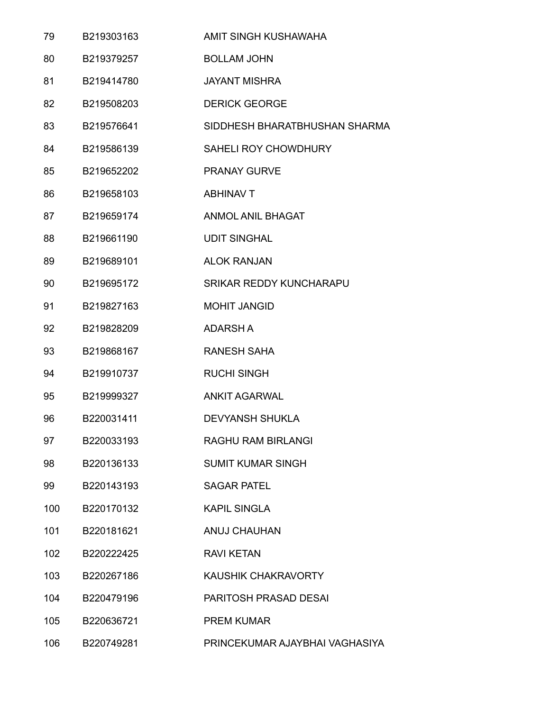| 79  | B219303163 | AMIT SINGH KUSHAWAHA           |
|-----|------------|--------------------------------|
| 80  | B219379257 | <b>BOLLAM JOHN</b>             |
| 81  | B219414780 | <b>JAYANT MISHRA</b>           |
| 82  | B219508203 | <b>DERICK GEORGE</b>           |
| 83  | B219576641 | SIDDHESH BHARATBHUSHAN SHARMA  |
| 84  | B219586139 | SAHELI ROY CHOWDHURY           |
| 85  | B219652202 | <b>PRANAY GURVE</b>            |
| 86  | B219658103 | <b>ABHINAV T</b>               |
| 87  | B219659174 | <b>ANMOL ANIL BHAGAT</b>       |
| 88  | B219661190 | <b>UDIT SINGHAL</b>            |
| 89  | B219689101 | <b>ALOK RANJAN</b>             |
| 90  | B219695172 | <b>SRIKAR REDDY KUNCHARAPU</b> |
| 91  | B219827163 | <b>MOHIT JANGID</b>            |
| 92  | B219828209 | <b>ADARSH A</b>                |
| 93  | B219868167 | <b>RANESH SAHA</b>             |
| 94  | B219910737 | <b>RUCHI SINGH</b>             |
| 95  | B219999327 | <b>ANKIT AGARWAL</b>           |
| 96  | B220031411 | <b>DEVYANSH SHUKLA</b>         |
| 97  | B220033193 | <b>RAGHU RAM BIRLANGI</b>      |
| 98  | B220136133 | <b>SUMIT KUMAR SINGH</b>       |
| 99  | B220143193 | <b>SAGAR PATEL</b>             |
| 100 | B220170132 | <b>KAPIL SINGLA</b>            |
| 101 | B220181621 | ANUJ CHAUHAN                   |
| 102 | B220222425 | <b>RAVI KETAN</b>              |
| 103 | B220267186 | KAUSHIK CHAKRAVORTY            |
| 104 | B220479196 | PARITOSH PRASAD DESAI          |
| 105 | B220636721 | <b>PREM KUMAR</b>              |
| 106 | B220749281 | PRINCEKUMAR AJAYBHAI VAGHASIYA |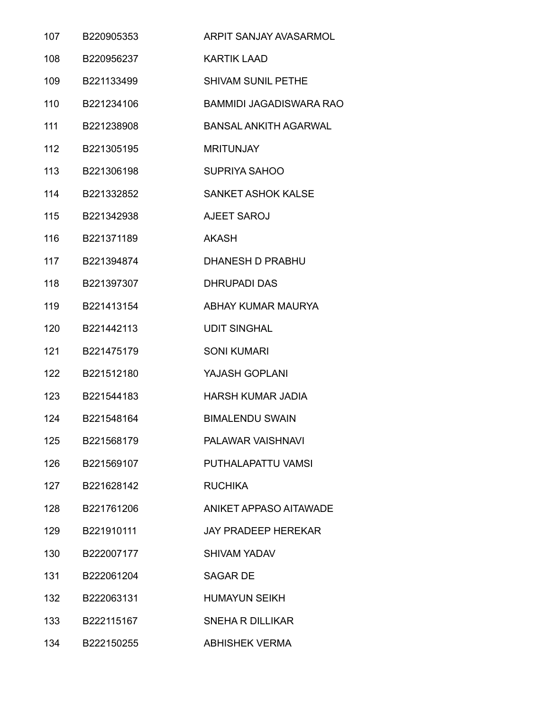| 107 | B220905353 | ARPIT SANJAY AVASARMOL         |
|-----|------------|--------------------------------|
| 108 | B220956237 | <b>KARTIK LAAD</b>             |
| 109 | B221133499 | <b>SHIVAM SUNIL PETHE</b>      |
| 110 | B221234106 | <b>BAMMIDI JAGADISWARA RAO</b> |
| 111 | B221238908 | <b>BANSAL ANKITH AGARWAL</b>   |
| 112 | B221305195 | <b>MRITUNJAY</b>               |
| 113 | B221306198 | <b>SUPRIYA SAHOO</b>           |
| 114 | B221332852 | <b>SANKET ASHOK KALSE</b>      |
| 115 | B221342938 | <b>AJEET SAROJ</b>             |
| 116 | B221371189 | <b>AKASH</b>                   |
| 117 | B221394874 | <b>DHANESH D PRABHU</b>        |
| 118 | B221397307 | <b>DHRUPADI DAS</b>            |
| 119 | B221413154 | ABHAY KUMAR MAURYA             |
| 120 | B221442113 | <b>UDIT SINGHAL</b>            |
| 121 | B221475179 | <b>SONI KUMARI</b>             |
| 122 | B221512180 | YAJASH GOPLANI                 |
| 123 | B221544183 | <b>HARSH KUMAR JADIA</b>       |
| 124 | B221548164 | <b>BIMALENDU SWAIN</b>         |
| 125 | B221568179 | PALAWAR VAISHNAVI              |
| 126 | B221569107 | PUTHALAPATTU VAMSI             |
| 127 | B221628142 | <b>RUCHIKA</b>                 |
| 128 | B221761206 | ANIKET APPASO AITAWADE         |
| 129 | B221910111 | <b>JAY PRADEEP HEREKAR</b>     |
| 130 | B222007177 | SHIVAM YADAV                   |
| 131 | B222061204 | <b>SAGAR DE</b>                |
| 132 | B222063131 | <b>HUMAYUN SEIKH</b>           |
| 133 | B222115167 | <b>SNEHA R DILLIKAR</b>        |
| 134 | B222150255 | <b>ABHISHEK VERMA</b>          |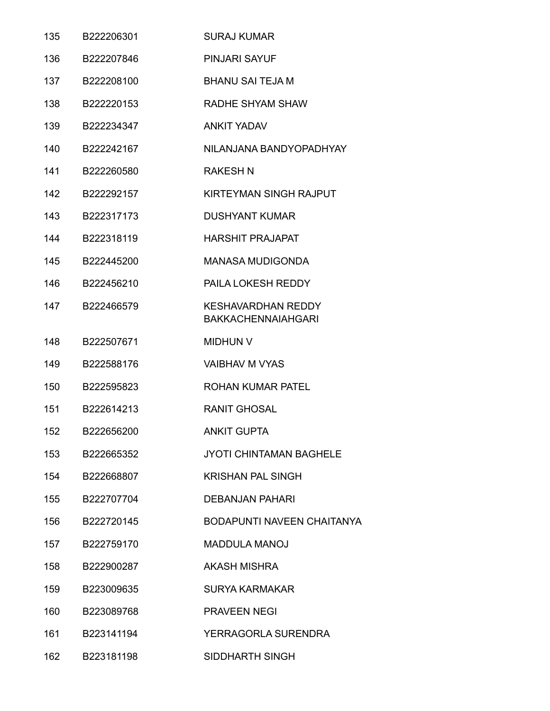| 135 | B222206301 | <b>SURAJ KUMAR</b>                                     |
|-----|------------|--------------------------------------------------------|
| 136 | B222207846 | <b>PINJARI SAYUF</b>                                   |
| 137 | B222208100 | <b>BHANU SAI TEJA M</b>                                |
| 138 | B222220153 | RADHE SHYAM SHAW                                       |
| 139 | B222234347 | <b>ANKIT YADAV</b>                                     |
| 140 | B222242167 | NILANJANA BANDYOPADHYAY                                |
| 141 | B222260580 | <b>RAKESH N</b>                                        |
| 142 | B222292157 | KIRTEYMAN SINGH RAJPUT                                 |
| 143 | B222317173 | <b>DUSHYANT KUMAR</b>                                  |
| 144 | B222318119 | <b>HARSHIT PRAJAPAT</b>                                |
| 145 | B222445200 | <b>MANASA MUDIGONDA</b>                                |
| 146 | B222456210 | <b>PAILA LOKESH REDDY</b>                              |
| 147 | B222466579 | <b>KESHAVARDHAN REDDY</b><br><b>BAKKACHENNAIAHGARI</b> |
| 148 | B222507671 | <b>MIDHUN V</b>                                        |
| 149 | B222588176 | <b>VAIBHAV M VYAS</b>                                  |
| 150 | B222595823 | <b>ROHAN KUMAR PATEL</b>                               |
| 151 | B222614213 | <b>RANIT GHOSAL</b>                                    |
| 152 | B222656200 | <b>ANKIT GUPTA</b>                                     |
| 153 | B222665352 | <b>JYOTI CHINTAMAN BAGHELE</b>                         |
| 154 | B222668807 | <b>KRISHAN PAL SINGH</b>                               |
| 155 | B222707704 | <b>DEBANJAN PAHARI</b>                                 |
| 156 | B222720145 | <b>BODAPUNTI NAVEEN CHAITANYA</b>                      |
| 157 | B222759170 | <b>MADDULA MANOJ</b>                                   |
| 158 | B222900287 | <b>AKASH MISHRA</b>                                    |
| 159 | B223009635 | <b>SURYA KARMAKAR</b>                                  |
| 160 | B223089768 | <b>PRAVEEN NEGI</b>                                    |
| 161 | B223141194 | YERRAGORLA SURENDRA                                    |
| 162 | B223181198 | SIDDHARTH SINGH                                        |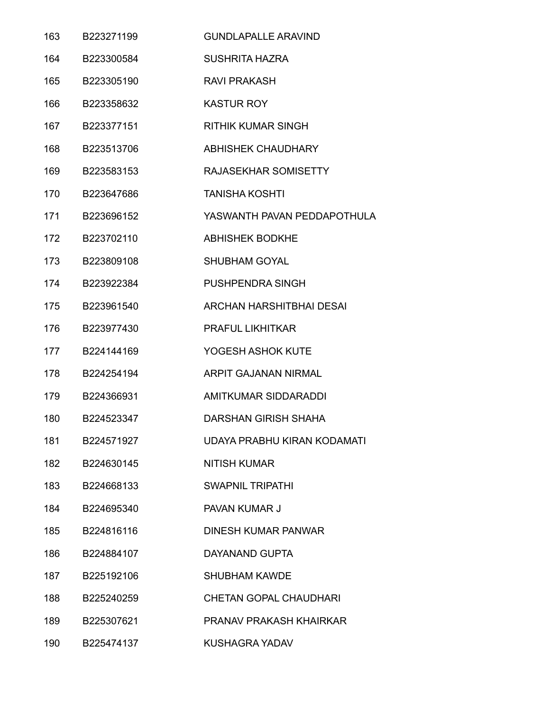| 163 | B223271199 | <b>GUNDLAPALLE ARAVIND</b>      |
|-----|------------|---------------------------------|
| 164 | B223300584 | <b>SUSHRITA HAZRA</b>           |
| 165 | B223305190 | <b>RAVI PRAKASH</b>             |
| 166 | B223358632 | <b>KASTUR ROY</b>               |
| 167 | B223377151 | <b>RITHIK KUMAR SINGH</b>       |
| 168 | B223513706 | <b>ABHISHEK CHAUDHARY</b>       |
| 169 | B223583153 | RAJASEKHAR SOMISETTY            |
| 170 | B223647686 | <b>TANISHA KOSHTI</b>           |
| 171 | B223696152 | YASWANTH PAVAN PEDDAPOTHULA     |
| 172 | B223702110 | <b>ABHISHEK BODKHE</b>          |
| 173 | B223809108 | <b>SHUBHAM GOYAL</b>            |
| 174 | B223922384 | <b>PUSHPENDRA SINGH</b>         |
| 175 | B223961540 | <b>ARCHAN HARSHITBHAI DESAI</b> |
| 176 | B223977430 | <b>PRAFUL LIKHITKAR</b>         |
| 177 | B224144169 | YOGESH ASHOK KUTE               |
| 178 | B224254194 | ARPIT GAJANAN NIRMAL            |
| 179 | B224366931 | AMITKUMAR SIDDARADDI            |
| 180 | B224523347 | <b>DARSHAN GIRISH SHAHA</b>     |
| 181 | B224571927 | UDAYA PRABHU KIRAN KODAMATI     |
| 182 | B224630145 | <b>NITISH KUMAR</b>             |
| 183 | B224668133 | <b>SWAPNIL TRIPATHI</b>         |
| 184 | B224695340 | PAVAN KUMAR J                   |
| 185 | B224816116 | <b>DINESH KUMAR PANWAR</b>      |
| 186 | B224884107 | <b>DAYANAND GUPTA</b>           |
| 187 | B225192106 | <b>SHUBHAM KAWDE</b>            |
| 188 | B225240259 | <b>CHETAN GOPAL CHAUDHARI</b>   |
| 189 | B225307621 | PRANAV PRAKASH KHAIRKAR         |
| 190 | B225474137 | <b>KUSHAGRA YADAV</b>           |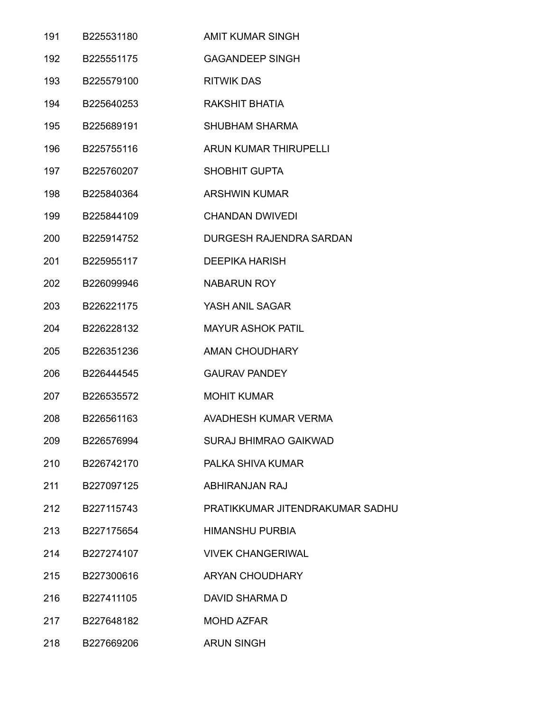| 191 | B225531180 | <b>AMIT KUMAR SINGH</b>         |
|-----|------------|---------------------------------|
| 192 | B225551175 | <b>GAGANDEEP SINGH</b>          |
| 193 | B225579100 | <b>RITWIK DAS</b>               |
| 194 | B225640253 | RAKSHIT BHATIA                  |
| 195 | B225689191 | SHUBHAM SHARMA                  |
| 196 | B225755116 | ARUN KUMAR THIRUPELLI           |
| 197 | B225760207 | SHOBHIT GUPTA                   |
| 198 | B225840364 | <b>ARSHWIN KUMAR</b>            |
| 199 | B225844109 | <b>CHANDAN DWIVEDI</b>          |
| 200 | B225914752 | DURGESH RAJENDRA SARDAN         |
| 201 | B225955117 | <b>DEEPIKA HARISH</b>           |
| 202 | B226099946 | <b>NABARUN ROY</b>              |
| 203 | B226221175 | YASH ANIL SAGAR                 |
| 204 | B226228132 | <b>MAYUR ASHOK PATIL</b>        |
| 205 | B226351236 | <b>AMAN CHOUDHARY</b>           |
| 206 | B226444545 | <b>GAURAV PANDEY</b>            |
| 207 | B226535572 | <b>MOHIT KUMAR</b>              |
| 208 | B226561163 | AVADHESH KUMAR VERMA            |
| 209 | B226576994 | <b>SURAJ BHIMRAO GAIKWAD</b>    |
| 210 | B226742170 | PALKA SHIVA KUMAR               |
| 211 | B227097125 | ABHIRANJAN RAJ                  |
| 212 | B227115743 | PRATIKKUMAR JITENDRAKUMAR SADHU |
| 213 | B227175654 | <b>HIMANSHU PURBIA</b>          |
| 214 | B227274107 | <b>VIVEK CHANGERIWAL</b>        |
| 215 | B227300616 | <b>ARYAN CHOUDHARY</b>          |
| 216 | B227411105 | DAVID SHARMA D                  |
| 217 | B227648182 | <b>MOHD AZFAR</b>               |
| 218 | B227669206 | <b>ARUN SINGH</b>               |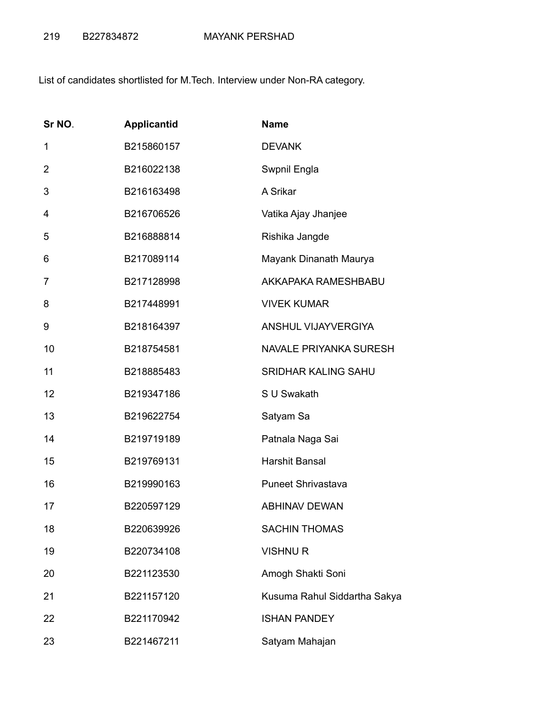List of candidates shortlisted for M.Tech. Interview under Non-RA category.

| Sr NO.         | <b>Applicantid</b> | <b>Name</b>                   |
|----------------|--------------------|-------------------------------|
| 1              | B215860157         | <b>DEVANK</b>                 |
| $\overline{2}$ | B216022138         | Swpnil Engla                  |
| 3              | B216163498         | A Srikar                      |
| 4              | B216706526         | Vatika Ajay Jhanjee           |
| 5              | B216888814         | Rishika Jangde                |
| 6              | B217089114         | Mayank Dinanath Maurya        |
| 7              | B217128998         | AKKAPAKA RAMESHBABU           |
| 8              | B217448991         | <b>VIVEK KUMAR</b>            |
| 9              | B218164397         | ANSHUL VIJAYVERGIYA           |
| 10             | B218754581         | <b>NAVALE PRIYANKA SURESH</b> |
| 11             | B218885483         | <b>SRIDHAR KALING SAHU</b>    |
| 12             | B219347186         | S U Swakath                   |
| 13             | B219622754         | Satyam Sa                     |
| 14             | B219719189         | Patnala Naga Sai              |
| 15             | B219769131         | Harshit Bansal                |
| 16             | B219990163         | <b>Puneet Shrivastava</b>     |
| 17             | B220597129         | <b>ABHINAV DEWAN</b>          |
| 18             | B220639926         | <b>SACHIN THOMAS</b>          |
| 19             | B220734108         | <b>VISHNUR</b>                |
| 20             | B221123530         | Amogh Shakti Soni             |
| 21             | B221157120         | Kusuma Rahul Siddartha Sakya  |
| 22             | B221170942         | <b>ISHAN PANDEY</b>           |
| 23             | B221467211         | Satyam Mahajan                |